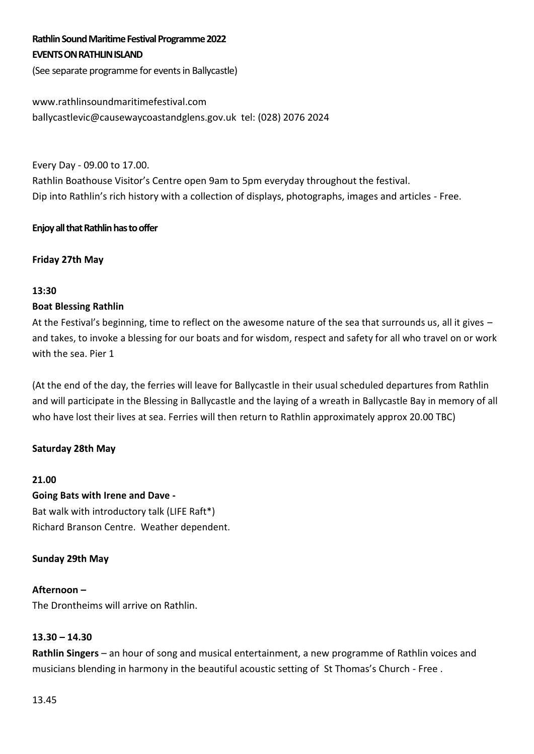# **Rathlin Sound Maritime Festival Programme2022 EVENTS ON RATHLIN ISLAND**

(See separate programme for events in Ballycastle)

# www.rathlinsoundmaritimefestival.com

ballycastlevic@causewaycoastandglens.gov.uk tel: (028) 2076 2024

Every Day - 09.00 to 17.00.

Rathlin Boathouse Visitor's Centre open 9am to 5pm everyday throughout the festival. Dip into Rathlin's rich history with a collection of displays, photographs, images and articles - Free.

# **Enjoy all that Rathlin has to offer**

Friday 27th May

# **13:30**

# **Boat Blessing Rathlin**

At the Festival's beginning, time to reflect on the awesome nature of the sea that surrounds us, all it gives – and takes, to invoke a blessing for our boats and for wisdom, respect and safety for all who travel on or work with the sea. Pier 1

(At the end of the day, the ferries will leave for Ballycastle in their usual scheduled departures from Rathlin and will participate in the Blessing in Ballycastle and the laying of a wreath in Ballycastle Bay in memory of all who have lost their lives at sea. Ferries will then return to Rathlin approximately approx 20.00 TBC)

# Saturday 28th May

#### **21.00**

**Going Bats with Irene and Dave -** Bat walk with introductory talk (LIFE Raft\*) Richard Branson Centre. Weather dependent.

# Sunday 29th May

#### **Afternoon –**

The Drontheims will arrive on Rathlin.

# **13.30 – 14.30**

**Rathlin Singers** – an hour of song and musical entertainment, a new programme of Rathlin voices and musicians blending in harmony in the beautiful acoustic setting of St Thomas's Church - Free .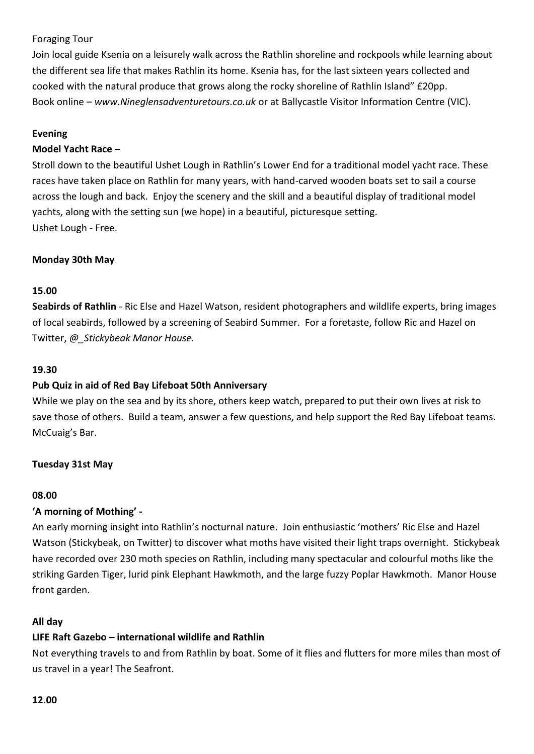# Foraging Tour

Join local guide Ksenia on a leisurely walk across the Rathlin shoreline and rockpools while learning about the different sea life that makes Rathlin its home. Ksenia has, for the last sixteen years collected and cooked with the natural produce that grows along the rocky shoreline of Rathlin Island" £20pp. Book online – *www.Nineglensadventuretours.co.uk* or at Ballycastle Visitor Information Centre (VIC).

## **Evening**

# **Model Yacht Race –**

Stroll down to the beautiful Ushet Lough in Rathlin's Lower End for a traditional model yacht race. These races have taken place on Rathlin for many years, with hand-carved wooden boats set to sail a course across the lough and back. Enjoy the scenery and the skill and a beautiful display of traditional model yachts, along with the setting sun (we hope) in a beautiful, picturesque setting. Ushet Lough - Free.

# **Monday 30th May**

#### **15.00**

**Seabirds of Rathlin** - Ric Else and Hazel Watson, resident photographers and wildlife experts, bring images of local seabirds, followed by a screening of Seabird Summer. For a foretaste, follow Ric and Hazel on Twitter, *@\_Stickybeak Manor House.*

#### **19.30**

#### **Pub Quiz in aid of Red Bay Lifeboat 50th Anniversary**

While we play on the sea and by its shore, others keep watch, prepared to put their own lives at risk to save those of others. Build a team, answer a few questions, and help support the Red Bay Lifeboat teams. McCuaig's Bar.

#### **Tuesday 31st May**

#### **08.00**

# **'A morning of Mothing' -**

An early morning insight into Rathlin's nocturnal nature. Join enthusiastic 'mothers' Ric Else and Hazel Watson (Stickybeak, on Twitter) to discover what moths have visited their light traps overnight. Stickybeak have recorded over 230 moth species on Rathlin, including many spectacular and colourful moths like the striking Garden Tiger, lurid pink Elephant Hawkmoth, and the large fuzzy Poplar Hawkmoth. Manor House front garden.

#### **All day**

#### **LIFE Raft Gazebo – international wildlife and Rathlin**

Not everything travels to and from Rathlin by boat. Some of it flies and flutters for more miles than most of us travel in a year! The Seafront.

#### **12.00**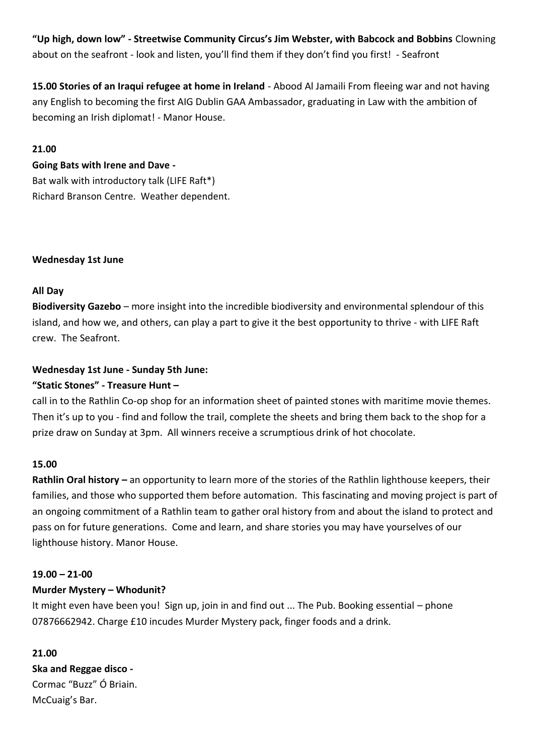**"Up high, down low" - Streetwise Community Circus's Jim Webster, with Babcock and Bobbins** Clowning about on the seafront - look and listen, you'll find them if they don't find you first! - Seafront

**15.00 Stories of an Iraqui refugee at home in Ireland** - Abood Al Jamaili From fleeing war and not having any English to becoming the first AIG Dublin GAA Ambassador, graduating in Law with the ambition of becoming an Irish diplomat! - Manor House.

## **21.00**

# **Going Bats with Irene and Dave -**

Bat walk with introductory talk (LIFE Raft\*) Richard Branson Centre. Weather dependent.

# **Wednesday 1st June**

# **All Day**

**Biodiversity Gazebo** – more insight into the incredible biodiversity and environmental splendour of this island, and how we, and others, can play a part to give it the best opportunity to thrive - with LIFE Raft crew. The Seafront.

# **Wednesday 1st June - Sunday 5th June:**

# **"Static Stones" - Treasure Hunt –**

call in to the Rathlin Co-op shop for an information sheet of painted stones with maritime movie themes. Then it's up to you - find and follow the trail, complete the sheets and bring them back to the shop for a prize draw on Sunday at 3pm. All winners receive a scrumptious drink of hot chocolate.

# **15.00**

**Rathlin Oral history –** an opportunity to learn more of the stories of the Rathlin lighthouse keepers, their families, and those who supported them before automation. This fascinating and moving project is part of an ongoing commitment of a Rathlin team to gather oral history from and about the island to protect and pass on for future generations. Come and learn, and share stories you may have yourselves of our lighthouse history. Manor House.

#### **19.00 – 21-00**

# **Murder Mystery – Whodunit?**

It might even have been you! Sign up, join in and find out ... The Pub. Booking essential – phone 07876662942. Charge £10 incudes Murder Mystery pack, finger foods and a drink.

#### **21.00**

**Ska and Reggae disco -** Cormac "Buzz" Ó Briain. McCuaig's Bar.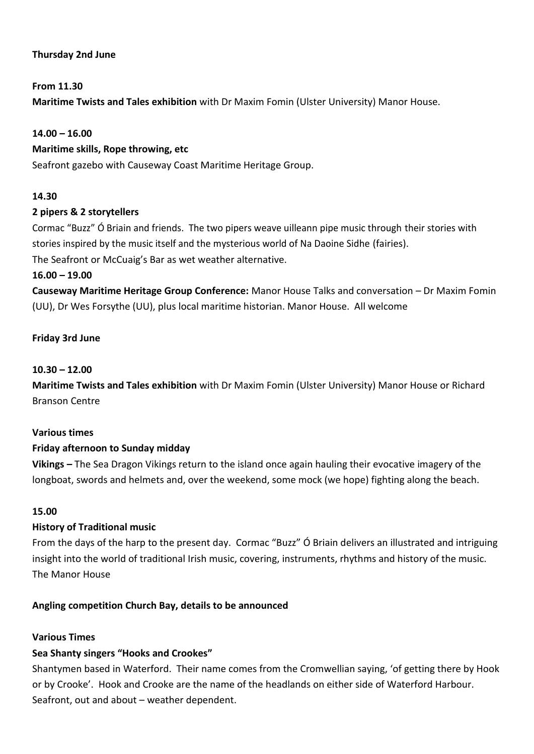# **Thursday 2nd June**

# **From 11.30**

**Maritime Twists and Tales exhibition** with Dr Maxim Fomin (Ulster University) Manor House.

## **14.00 – 16.00**

#### **Maritime skills, Rope throwing, etc**

Seafront gazebo with Causeway Coast Maritime Heritage Group.

# **14.30**

# **2 pipers & 2 storytellers**

Cormac "Buzz" Ó Briain and friends. The two pipers weave uilleann pipe music through their stories with stories inspired by the music itself and the mysterious world of Na Daoine Sidhe (fairies). The Seafront or McCuaig's Bar as wet weather alternative.

# **16.00 – 19.00**

**Causeway Maritime Heritage Group Conference:** Manor House Talks and conversation – Dr Maxim Fomin (UU), Dr Wes Forsythe (UU), plus local maritime historian. Manor House. All welcome

# **Friday 3rd June**

# **10.30 – 12.00**

**Maritime Twists and Tales exhibition** with Dr Maxim Fomin (Ulster University) Manor House or Richard Branson Centre

#### **Various times**

#### **Friday afternoon to Sunday midday**

**Vikings –** The Sea Dragon Vikings return to the island once again hauling their evocative imagery of the longboat, swords and helmets and, over the weekend, some mock (we hope) fighting along the beach.

#### **15.00**

#### **History of Traditional music**

From the days of the harp to the present day. Cormac "Buzz" Ó Briain delivers an illustrated and intriguing insight into the world of traditional Irish music, covering, instruments, rhythms and history of the music. The Manor House

#### **Angling competition Church Bay, details to be announced**

#### **Various Times**

# **Sea Shanty singers "Hooks and Crookes"**

Shantymen based in Waterford. Their name comes from the Cromwellian saying, 'of getting there by Hook or by Crooke'. Hook and Crooke are the name of the headlands on either side of Waterford Harbour. Seafront, out and about – weather dependent.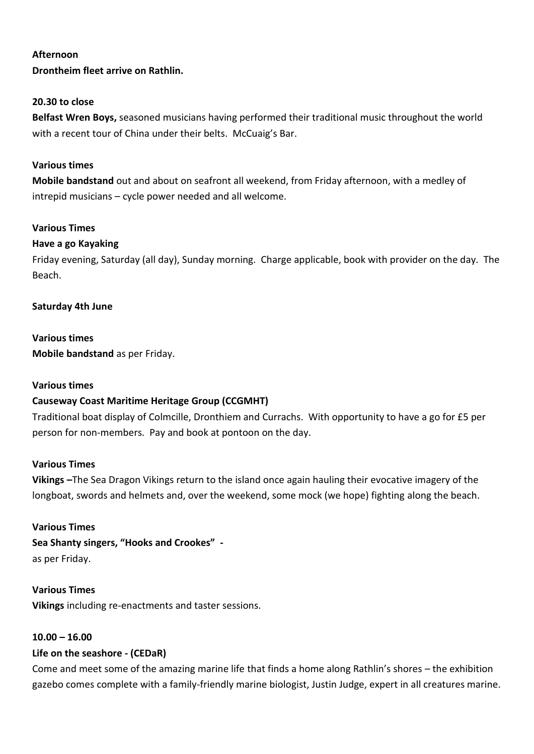#### **Afternoon**

**Drontheim fleet arrive on Rathlin.**

#### **20.30 to close**

**Belfast Wren Boys,** seasoned musicians having performed their traditional music throughout the world with a recent tour of China under their belts. McCuaig's Bar.

#### **Various times**

**Mobile bandstand** out and about on seafront all weekend, from Friday afternoon, with a medley of intrepid musicians – cycle power needed and all welcome.

#### **Various Times**

#### **Have a go Kayaking**

Friday evening, Saturday (all day), Sunday morning. Charge applicable, book with provider on the day. The Beach.

#### **Saturday 4th June**

# **Various times**

**Mobile bandstand** as per Friday.

#### **Various times**

#### **Causeway Coast Maritime Heritage Group (CCGMHT)**

Traditional boat display of Colmcille, Dronthiem and Currachs. With opportunity to have a go for £5 per person for non-members. Pay and book at pontoon on the day.

#### **Various Times**

**Vikings –**The Sea Dragon Vikings return to the island once again hauling their evocative imagery of the longboat, swords and helmets and, over the weekend, some mock (we hope) fighting along the beach.

# **Various Times**

**Sea Shanty singers, "Hooks and Crookes"**  as per Friday.

#### **Various Times**

**Vikings** including re-enactments and taster sessions.

#### **10.00 – 16.00**

#### **Life on the seashore - (CEDaR)**

Come and meet some of the amazing marine life that finds a home along Rathlin's shores – the exhibition gazebo comes complete with a family-friendly marine biologist, Justin Judge, expert in all creatures marine.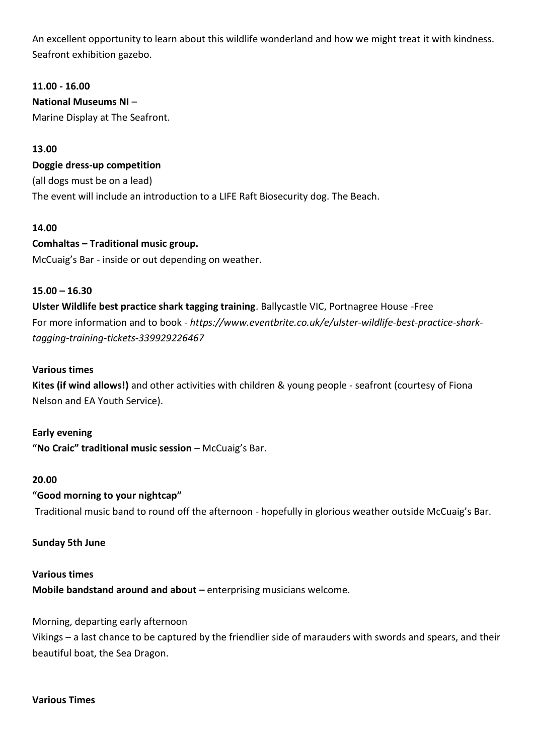An excellent opportunity to learn about this wildlife wonderland and how we might treat it with kindness. Seafront exhibition gazebo.

# **11.00 - 16.00**

# **National Museums NI** –

Marine Display at The Seafront.

# **13.00**

#### **Doggie dress-up competition**

(all dogs must be on a lead) The event will include an introduction to a LIFE Raft Biosecurity dog. The Beach.

#### **14.00**

# **Comhaltas – Traditional music group.**

McCuaig's Bar - inside or out depending on weather.

#### **15.00 – 16.30**

**Ulster Wildlife best practice shark tagging training**. Ballycastle VIC, Portnagree House -Free For more information and to book *- https://www.eventbrite.co.uk/e/ulster-wildlife-best-practice-sharktagging-training-tickets-339929226467*

#### **Various times**

**Kites (if wind allows!)** and other activities with children & young people - seafront (courtesy of Fiona Nelson and EA Youth Service).

#### **Early evening**

**"No Craic" traditional music session** – McCuaig's Bar.

#### **20.00**

#### **"Good morning to your nightcap"**

Traditional music band to round off the afternoon - hopefully in glorious weather outside McCuaig's Bar.

## **Sunday 5th June**

#### **Various times**

**Mobile bandstand around and about – enterprising musicians welcome.** 

#### Morning, departing early afternoon

Vikings – a last chance to be captured by the friendlier side of marauders with swords and spears, and their beautiful boat, the Sea Dragon.

#### **Various Times**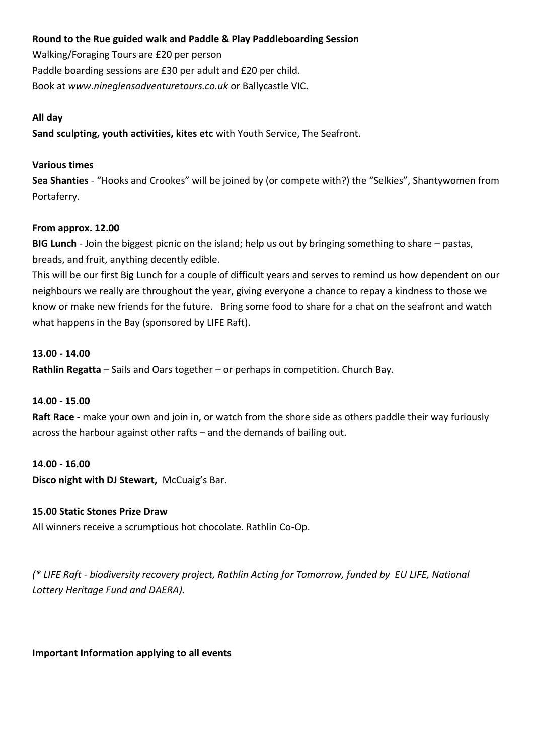# **Round to the Rue guided walk and Paddle & Play Paddleboarding Session**

Walking/Foraging Tours are £20 per person Paddle boarding sessions are £30 per adult and £20 per child. Book at *www.nineglensadventuretours.co.uk* or Ballycastle VIC.

#### **All day**

**Sand sculpting, youth activities, kites etc** with Youth Service, The Seafront.

#### **Various times**

**Sea Shanties** - "Hooks and Crookes" will be joined by (or compete with?) the "Selkies", Shantywomen from Portaferry.

# **From approx. 12.00**

**BIG Lunch** - Join the biggest picnic on the island; help us out by bringing something to share – pastas, breads, and fruit, anything decently edible.

This will be our first Big Lunch for a couple of difficult years and serves to remind us how dependent on our neighbours we really are throughout the year, giving everyone a chance to repay a kindness to those we know or make new friends for the future. Bring some food to share for a chat on the seafront and watch what happens in the Bay (sponsored by LIFE Raft).

# **13.00 - 14.00**

**Rathlin Regatta** – Sails and Oars together – or perhaps in competition. Church Bay.

#### **14.00 - 15.00**

**Raft Race -** make your own and join in, or watch from the shore side as others paddle their way furiously across the harbour against other rafts – and the demands of bailing out.

#### **14.00 - 16.00**

**Disco night with DJ Stewart,** McCuaig's Bar.

#### **15.00 Static Stones Prize Draw**

All winners receive a scrumptious hot chocolate. Rathlin Co-Op.

*(\* LIFE Raft - biodiversity recovery project, Rathlin Acting for Tomorrow, funded by EU LIFE, National Lottery Heritage Fund and DAERA).*

#### **Important Information applying to all events**